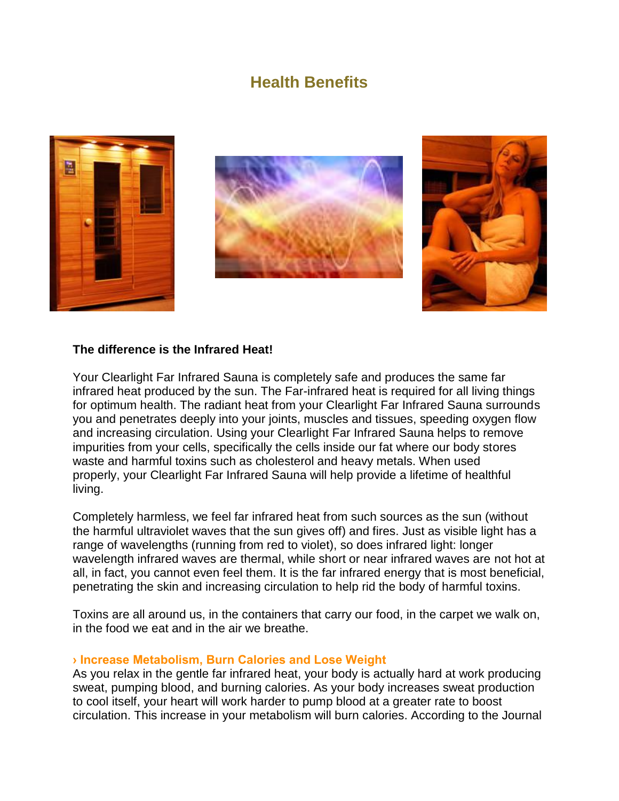# **Health Benefits**







#### **The difference is the Infrared Heat!**

Your Clearlight Far Infrared Sauna is completely safe and produces the same far infrared heat produced by the sun. The Far-infrared heat is required for all living things for optimum health. The radiant heat from your Clearlight Far Infrared Sauna surrounds you and penetrates deeply into your joints, muscles and tissues, speeding oxygen flow and increasing circulation. Using your Clearlight Far Infrared Sauna helps to remove impurities from your cells, specifically the cells inside our fat where our body stores waste and harmful toxins such as cholesterol and heavy metals. When used properly, your Clearlight Far Infrared Sauna will help provide a lifetime of healthful living.

Completely harmless, we feel far infrared heat from such sources as the sun (without the harmful ultraviolet waves that the sun gives off) and fires. Just as visible light has a range of wavelengths (running from red to violet), so does infrared light: longer wavelength infrared waves are thermal, while short or near infrared waves are not hot at all, in fact, you cannot even feel them. It is the far infrared energy that is most beneficial, penetrating the skin and increasing circulation to help rid the body of harmful toxins.

Toxins are all around us, in the containers that carry our food, in the carpet we walk on, in the food we eat and in the air we breathe.

## **› Increase Metabolism, Burn Calories and Lose Weight**

As you relax in the gentle far infrared heat, your body is actually hard at work producing sweat, pumping blood, and burning calories. As your body increases sweat production to cool itself, your heart will work harder to pump blood at a greater rate to boost circulation. This increase in your metabolism will burn calories. According to the Journal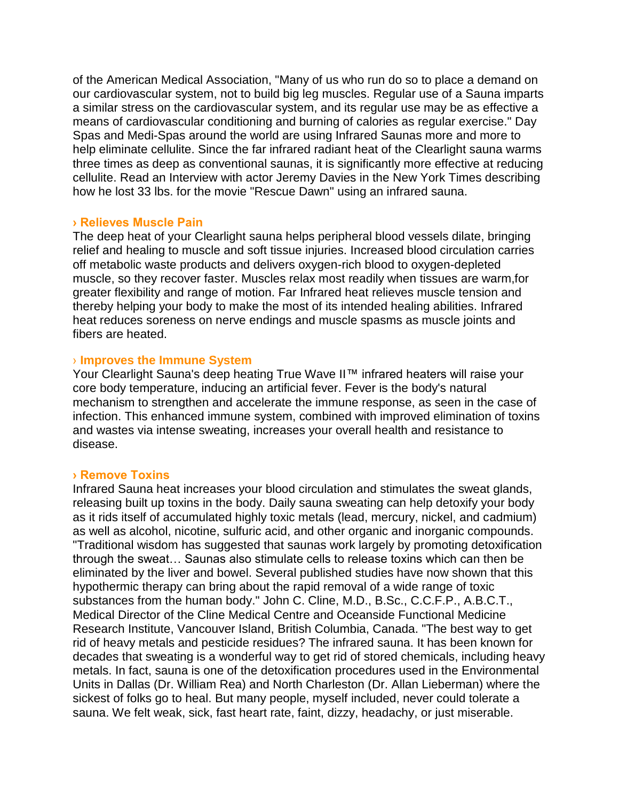of the American Medical Association, "Many of us who run do so to place a demand on our cardiovascular system, not to build big leg muscles. Regular use of a Sauna imparts a similar stress on the cardiovascular system, and its regular use may be as effective a means of cardiovascular conditioning and burning of calories as regular exercise." Day Spas and Medi-Spas around the world are using Infrared Saunas more and more to help eliminate cellulite. Since the far infrared radiant heat of the Clearlight sauna warms three times as deep as conventional saunas, it is significantly more effective at reducing cellulite. Read an Interview with actor Jeremy Davies in the New York Times describing how he lost 33 lbs. for the movie "Rescue Dawn" using an infrared sauna.

#### **› Relieves Muscle Pain**

The deep heat of your Clearlight sauna helps peripheral blood vessels dilate, bringing relief and healing to muscle and soft tissue injuries. Increased blood circulation carries off metabolic waste products and delivers oxygen-rich blood to oxygen-depleted muscle, so they recover faster. Muscles relax most readily when tissues are warm,for greater flexibility and range of motion. Far Infrared heat relieves muscle tension and thereby helping your body to make the most of its intended healing abilities. Infrared heat reduces soreness on nerve endings and muscle spasms as muscle joints and fibers are heated.

#### › **Improves the Immune System**

Your Clearlight Sauna's deep heating True Wave II™ infrared heaters will raise your core body temperature, inducing an artificial fever. Fever is the body's natural mechanism to strengthen and accelerate the immune response, as seen in the case of infection. This enhanced immune system, combined with improved elimination of toxins and wastes via intense sweating, increases your overall health and resistance to disease.

## **› Remove Toxins**

Infrared Sauna heat increases your blood circulation and stimulates the sweat glands, releasing built up toxins in the body. Daily sauna sweating can help detoxify your body as it rids itself of accumulated highly toxic metals (lead, mercury, nickel, and cadmium) as well as alcohol, nicotine, sulfuric acid, and other organic and inorganic compounds. "Traditional wisdom has suggested that saunas work largely by promoting detoxification through the sweat… Saunas also stimulate cells to release toxins which can then be eliminated by the liver and bowel. Several published studies have now shown that this hypothermic therapy can bring about the rapid removal of a wide range of toxic substances from the human body." John C. Cline, M.D., B.Sc., C.C.F.P., A.B.C.T., Medical Director of the Cline Medical Centre and Oceanside Functional Medicine Research Institute, Vancouver Island, British Columbia, Canada. "The best way to get rid of heavy metals and pesticide residues? The infrared sauna. It has been known for decades that sweating is a wonderful way to get rid of stored chemicals, including heavy metals. In fact, sauna is one of the detoxification procedures used in the Environmental Units in Dallas (Dr. William Rea) and North Charleston (Dr. Allan Lieberman) where the sickest of folks go to heal. But many people, myself included, never could tolerate a sauna. We felt weak, sick, fast heart rate, faint, dizzy, headachy, or just miserable.